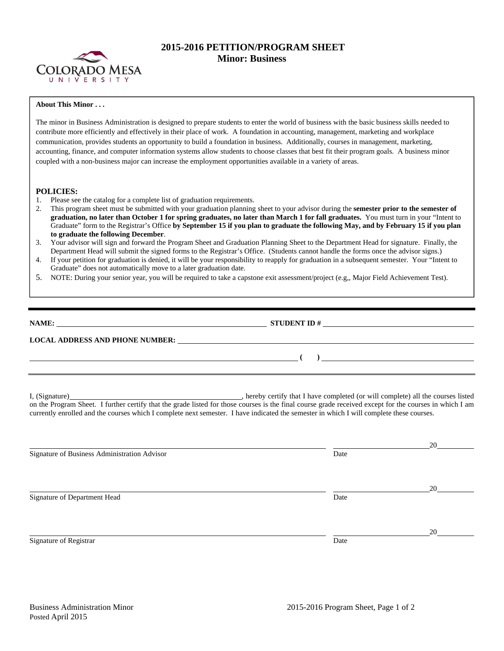

## **2015-2016 PETITION/PROGRAM SHEET Minor: Business**

## **About This Minor . . .**

The minor in Business Administration is designed to prepare students to enter the world of business with the basic business skills needed to contribute more efficiently and effectively in their place of work. A foundation in accounting, management, marketing and workplace communication, provides students an opportunity to build a foundation in business. Additionally, courses in management, marketing, accounting, finance, and computer information systems allow students to choose classes that best fit their program goals. A business minor coupled with a non-business major can increase the employment opportunities available in a variety of areas.

## **POLICIES:**

- 1. Please see the catalog for a complete list of graduation requirements.<br>2. This program sheet must be submitted with your graduation planning
- 2. This program sheet must be submitted with your graduation planning sheet to your advisor during the **semester prior to the semester of graduation, no later than October 1 for spring graduates, no later than March 1 for fall graduates.** You must turn in your "Intent to Graduate" form to the Registrar's Office **by September 15 if you plan to graduate the following May, and by February 15 if you plan to graduate the following December**.
- 3. Your advisor will sign and forward the Program Sheet and Graduation Planning Sheet to the Department Head for signature. Finally, the Department Head will submit the signed forms to the Registrar's Office. (Students cannot handle the forms once the advisor signs.)
- 4. If your petition for graduation is denied, it will be your responsibility to reapply for graduation in a subsequent semester. Your "Intent to Graduate" does not automatically move to a later graduation date.
- 5. NOTE: During your senior year, you will be required to take a capstone exit assessment/project (e.g,, Major Field Achievement Test).

| NAME:                                  | STUDENT ID $#$                                                                                                        |  |
|----------------------------------------|-----------------------------------------------------------------------------------------------------------------------|--|
| <b>LOCAL ADDRESS AND PHONE NUMBER:</b> | <u>and the state of the state of the state of the state of the state of the state of the state of the state of th</u> |  |
|                                        |                                                                                                                       |  |
|                                        |                                                                                                                       |  |

I, (Signature) , hereby certify that I have completed (or will complete) all the courses listed on the Program Sheet. I further certify that the grade listed for those courses is the final course grade received except for the courses in which I am currently enrolled and the courses which I complete next semester. I have indicated the semester in which I will complete these courses.

|                                              |      | 20 |
|----------------------------------------------|------|----|
| Signature of Business Administration Advisor | Date |    |
|                                              |      |    |
|                                              |      |    |
|                                              |      | 20 |
| Signature of Department Head                 | Date |    |
|                                              |      |    |
|                                              |      |    |
|                                              |      | 20 |
| Signature of Registrar                       | Date |    |
|                                              |      |    |